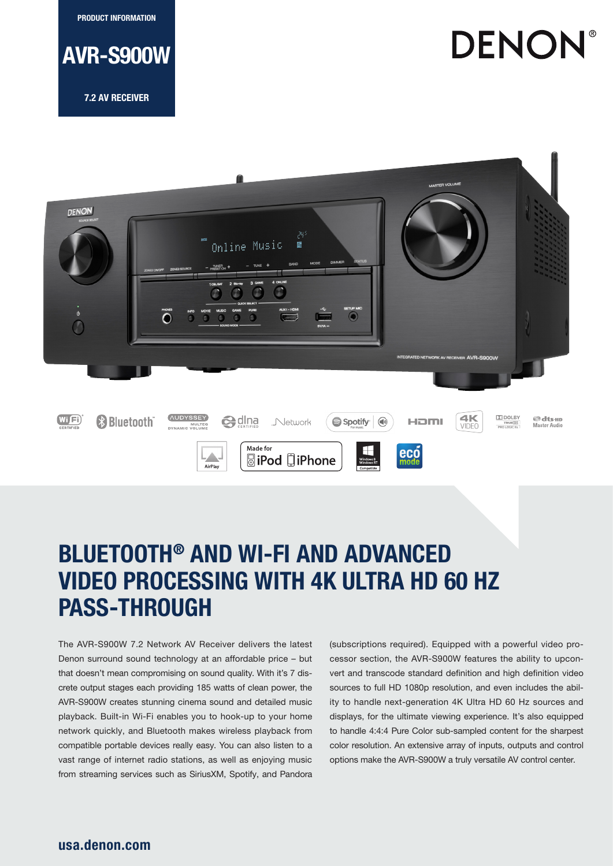PRODUCT INFORMATION



# **DENON**



## BLUETOOTH® AND WI-FI AND ADVANCED VIDEO PROCESSING WITH 4K ULTRA HD 60 HZ PASS-THROUGH

The AVR-S900W 7.2 Network AV Receiver delivers the latest Denon surround sound technology at an affordable price – but that doesn't mean compromising on sound quality. With it's 7 discrete output stages each providing 185 watts of clean power, the AVR-S900W creates stunning cinema sound and detailed music playback. Built-in Wi-Fi enables you to hook-up to your home network quickly, and Bluetooth makes wireless playback from compatible portable devices really easy. You can also listen to a vast range of internet radio stations, as well as enjoying music from streaming services such as SiriusXM, Spotify, and Pandora

(subscriptions required). Equipped with a powerful video processor section, the AVR-S900W features the ability to upconvert and transcode standard definition and high definition video sources to full HD 1080p resolution, and even includes the ability to handle next-generation 4K Ultra HD 60 Hz sources and displays, for the ultimate viewing experience. It's also equipped to handle 4:4:4 Pure Color sub-sampled content for the sharpest color resolution. An extensive array of inputs, outputs and control options make the AVR-S900W a truly versatile AV control center.